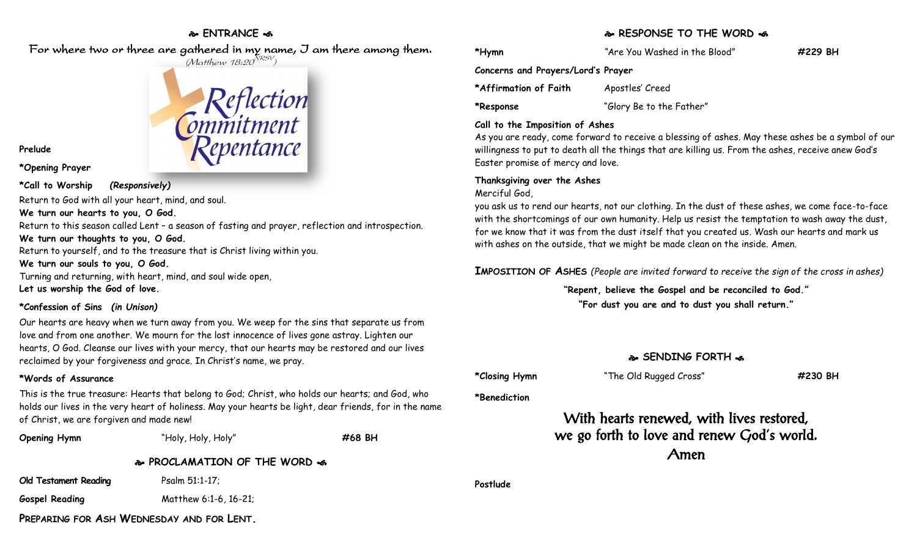### **ENTRANCE**

For where two or three are gathered in my name, I am there among them.



**Prelude**

**\*Opening Prayer**

**\*Call to Worship** *(Responsively)*

Return to God with all your heart, mind, and soul.

**We turn our hearts to you, O God.**

Return to this season called Lent – a season of fasting and prayer, reflection and introspection.

**We turn our thoughts to you, O God.**

Return to yourself, and to the treasure that is Christ living within you.

**We turn our souls to you, O God.**

Turning and returning, with heart, mind, and soul wide open, **Let us worship the God of love.**

#### **\*Confession of Sins** *(in Unison)*

Our hearts are heavy when we turn away from you. We weep for the sins that separate us from love and from one another. We mourn for the lost innocence of lives gone astray. Lighten our hearts, O God. Cleanse our lives with your mercy, that our hearts may be restored and our lives reclaimed by your forgiveness and grace. In Christ's name, we pray.

#### **\*Words of Assurance**

This is the true treasure: Hearts that belong to God; Christ, who holds our hearts; and God, who holds our lives in the very heart of holiness. May your hearts be light, dear friends, for in the name of Christ, we are forgiven and made new!



#### **RESPONSE TO THE WORD**

**\*Hymn** *"*Are You Washed in the Blood" **#229 BH**

**Concerns and Prayers/Lord's Prayer**

**\*Affirmation of Faith** Apostles' Creed

**\*Response** "Glory Be to the Father"

#### **Call to the Imposition of Ashes**

As you are ready, come forward to receive a blessing of ashes. May these ashes be a symbol of our willingness to put to death all the things that are killing us. From the ashes, receive anew God's Easter promise of mercy and love.

#### **Thanksgiving over the Ashes**

Merciful God,

you ask us to rend our hearts, not our clothing. In the dust of these ashes, we come face-to-face with the shortcomings of our own humanity. Help us resist the temptation to wash away the dust, for we know that it was from the dust itself that you created us. Wash our hearts and mark us with ashes on the outside, that we might be made clean on the inside. Amen.

**IMPOSITION OF ASHES** *(People are invited forward to receive the sign of the cross in ashes)*

**"Repent, believe the Gospel and be reconciled to God."**

**"For dust you are and to dust you shall return."**

## **SENDING FORTH**  $\bullet$

**\*Closing Hymn** "The Old Rugged Cross" **#230 BH**

**\*Benediction**

With hearts renewed, with lives restored, we go forth to love and renew God's world. Amen

**Postlude**

**PREPARING FOR ASH WEDNESDAY AND FOR LENT.**